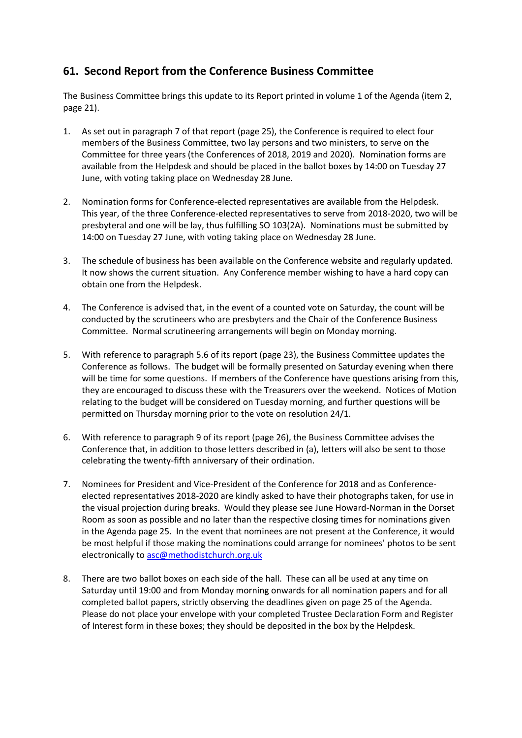## **61. Second Report from the Conference Business Committee**

The Business Committee brings this update to its Report printed in volume 1 of the Agenda (item 2, page 21).

- 1. As set out in paragraph 7 of that report (page 25), the Conference is required to elect four members of the Business Committee, two lay persons and two ministers, to serve on the Committee for three years (the Conferences of 2018, 2019 and 2020). Nomination forms are available from the Helpdesk and should be placed in the ballot boxes by 14:00 on Tuesday 27 June, with voting taking place on Wednesday 28 June.
- 2. Nomination forms for Conference-elected representatives are available from the Helpdesk. This year, of the three Conference-elected representatives to serve from 2018-2020, two will be presbyteral and one will be lay, thus fulfilling SO 103(2A). Nominations must be submitted by 14:00 on Tuesday 27 June, with voting taking place on Wednesday 28 June.
- 3. The schedule of business has been available on the Conference website and regularly updated. It now shows the current situation. Any Conference member wishing to have a hard copy can obtain one from the Helpdesk.
- 4. The Conference is advised that, in the event of a counted vote on Saturday, the count will be conducted by the scrutineers who are presbyters and the Chair of the Conference Business Committee. Normal scrutineering arrangements will begin on Monday morning.
- 5. With reference to paragraph 5.6 of its report (page 23), the Business Committee updates the Conference as follows. The budget will be formally presented on Saturday evening when there will be time for some questions. If members of the Conference have questions arising from this, they are encouraged to discuss these with the Treasurers over the weekend. Notices of Motion relating to the budget will be considered on Tuesday morning, and further questions will be permitted on Thursday morning prior to the vote on resolution 24/1.
- 6. With reference to paragraph 9 of its report (page 26), the Business Committee advises the Conference that, in addition to those letters described in (a), letters will also be sent to those celebrating the twenty-fifth anniversary of their ordination.
- 7. Nominees for President and Vice-President of the Conference for 2018 and as Conferenceelected representatives 2018-2020 are kindly asked to have their photographs taken, for use in the visual projection during breaks. Would they please see June Howard-Norman in the Dorset Room as soon as possible and no later than the respective closing times for nominations given in the Agenda page 25. In the event that nominees are not present at the Conference, it would be most helpful if those making the nominations could arrange for nominees' photos to be sent electronically t[o asc@methodistchurch.org.uk](mailto:asc@methodistchurch.org.uk)
- 8. There are two ballot boxes on each side of the hall. These can all be used at any time on Saturday until 19:00 and from Monday morning onwards for all nomination papers and for all completed ballot papers, strictly observing the deadlines given on page 25 of the Agenda. Please do not place your envelope with your completed Trustee Declaration Form and Register of Interest form in these boxes; they should be deposited in the box by the Helpdesk.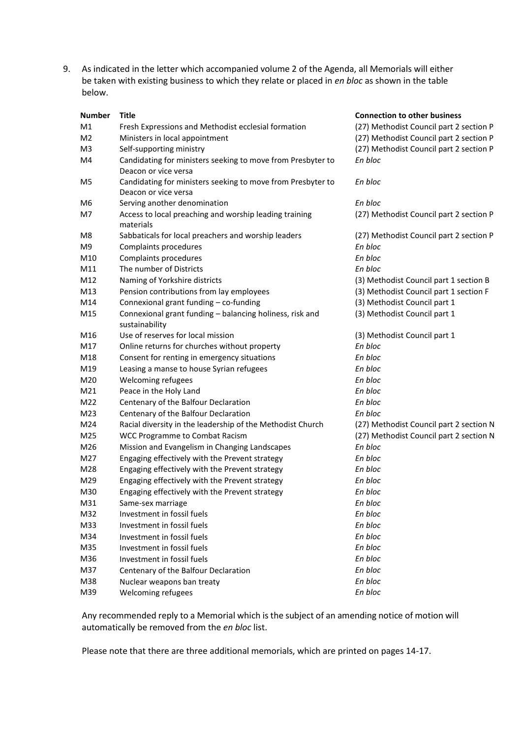9. As indicated in the letter which accompanied volume 2 of the Agenda, all Memorials will either be taken with existing business to which they relate or placed in *en bloc* as shown in the table below.

| <b>Number</b>  | <b>Title</b>                                                                        | <b>Connection to other business</b>     |
|----------------|-------------------------------------------------------------------------------------|-----------------------------------------|
| M1             | Fresh Expressions and Methodist ecclesial formation                                 | (27) Methodist Council part 2 section P |
| M <sub>2</sub> | Ministers in local appointment                                                      | (27) Methodist Council part 2 section P |
| M3             | Self-supporting ministry                                                            | (27) Methodist Council part 2 section P |
| M4             | Candidating for ministers seeking to move from Presbyter to                         | En bloc                                 |
|                | Deacon or vice versa                                                                |                                         |
| M5             | Candidating for ministers seeking to move from Presbyter to<br>Deacon or vice versa | En bloc                                 |
| M6             | Serving another denomination                                                        | En bloc                                 |
| M7             | Access to local preaching and worship leading training<br>materials                 | (27) Methodist Council part 2 section P |
| M8             | Sabbaticals for local preachers and worship leaders                                 | (27) Methodist Council part 2 section P |
| M9             | Complaints procedures                                                               | En bloc                                 |
| M10            | Complaints procedures                                                               | En bloc                                 |
| M11            | The number of Districts                                                             | En bloc                                 |
| M12            | Naming of Yorkshire districts                                                       | (3) Methodist Council part 1 section B  |
| M13            | Pension contributions from lay employees                                            | (3) Methodist Council part 1 section F  |
| M14            | Connexional grant funding - co-funding                                              | (3) Methodist Council part 1            |
| M15            | Connexional grant funding - balancing holiness, risk and<br>sustainability          | (3) Methodist Council part 1            |
| M16            | Use of reserves for local mission                                                   | (3) Methodist Council part 1            |
| M17            | Online returns for churches without property                                        | En bloc                                 |
| M18            | Consent for renting in emergency situations                                         | En bloc                                 |
| M19            | Leasing a manse to house Syrian refugees                                            | En bloc                                 |
| M20            | Welcoming refugees                                                                  | En bloc                                 |
| M21            | Peace in the Holy Land                                                              | En bloc                                 |
| M22            | Centenary of the Balfour Declaration                                                | En bloc                                 |
| M23            | Centenary of the Balfour Declaration                                                | En bloc                                 |
| M24            | Racial diversity in the leadership of the Methodist Church                          | (27) Methodist Council part 2 section N |
| M25            | <b>WCC Programme to Combat Racism</b>                                               | (27) Methodist Council part 2 section N |
| M26            | Mission and Evangelism in Changing Landscapes                                       | En bloc                                 |
| M27            | Engaging effectively with the Prevent strategy                                      | En bloc                                 |
| M28            | Engaging effectively with the Prevent strategy                                      | En bloc                                 |
| M29            | Engaging effectively with the Prevent strategy                                      | En bloc                                 |
| M30            | Engaging effectively with the Prevent strategy                                      | En bloc                                 |
| M31            | Same-sex marriage                                                                   | En bloc                                 |
| M32            | Investment in fossil fuels                                                          | En bloc                                 |
| M33            | Investment in fossil fuels                                                          | En bloc                                 |
| M34            | Investment in fossil fuels                                                          | En bloc                                 |
| M35            | Investment in fossil fuels                                                          | En bloc                                 |
| M36            | Investment in fossil fuels                                                          | En bloc                                 |
| M37            | Centenary of the Balfour Declaration                                                | En bloc                                 |
| M38            | Nuclear weapons ban treaty                                                          | En bloc                                 |
| M39            | Welcoming refugees                                                                  | En bloc                                 |

Any recommended reply to a Memorial which is the subject of an amending notice of motion will automatically be removed from the *en bloc* list.

Please note that there are three additional memorials, which are printed on pages 14-17.